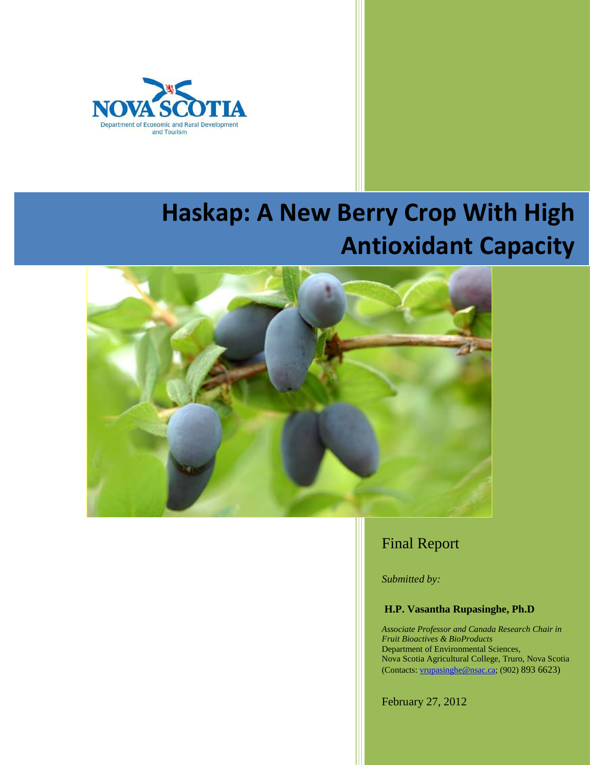

# **Haskap: A New Berry Crop With High Antioxidant Capacity**



# Final Report

*Submitted by:*

# **H.P. Vasantha Rupasinghe, Ph.D**

*Associate Professor and Canada Research Chair in Fruit Bioactives & BioProducts* Department of Environmental Sciences, Nova Scotia Agricultural College, Truro, Nova Scotia (Contacts: [vrupasinghe@nsac.ca;](mailto:vrupasinghe@nsac.ca) (902) 893 6623)

February 27, 2012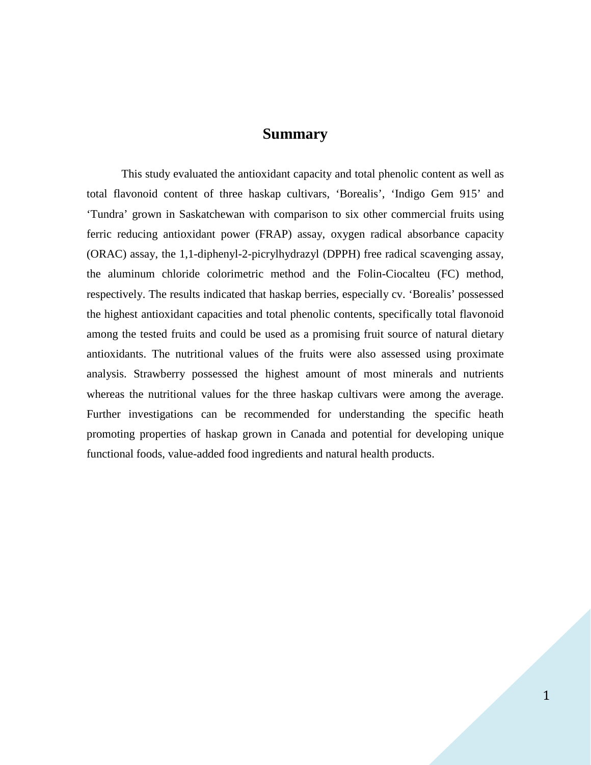# **Summary**

This study evaluated the antioxidant capacity and total phenolic content as well as total flavonoid content of three haskap cultivars, 'Borealis', 'Indigo Gem 915' and 'Tundra' grown in Saskatchewan with comparison to six other commercial fruits using ferric reducing antioxidant power (FRAP) assay, oxygen radical absorbance capacity (ORAC) assay, the 1,1-diphenyl-2-picrylhydrazyl (DPPH) free radical scavenging assay, the aluminum chloride colorimetric method and the Folin-Ciocalteu (FC) method, respectively. The results indicated that haskap berries, especially cv. 'Borealis' possessed the highest antioxidant capacities and total phenolic contents, specifically total flavonoid among the tested fruits and could be used as a promising fruit source of natural dietary antioxidants. The nutritional values of the fruits were also assessed using proximate analysis. Strawberry possessed the highest amount of most minerals and nutrients whereas the nutritional values for the three haskap cultivars were among the average. Further investigations can be recommended for understanding the specific heath promoting properties of haskap grown in Canada and potential for developing unique functional foods, value-added food ingredients and natural health products.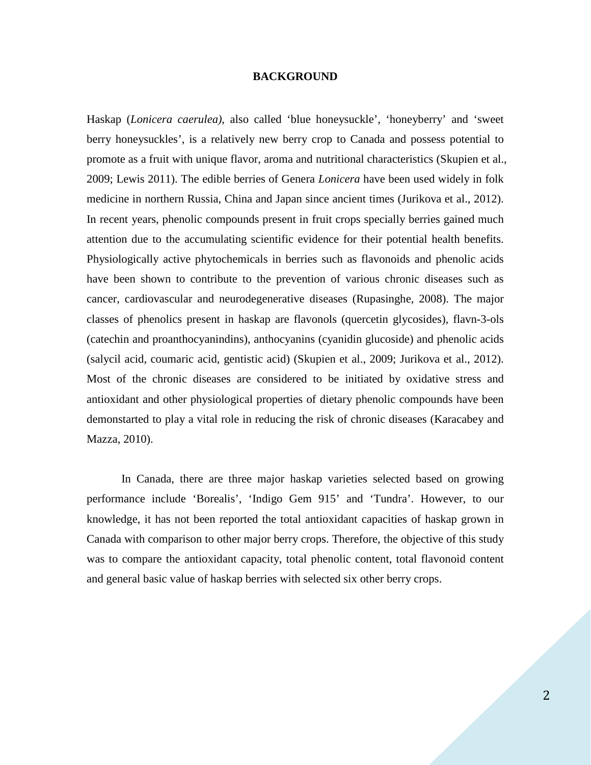#### **BACKGROUND**

Haskap (*Lonicera caerulea)*, also called 'blue honeysuckle', 'honeyberry' and 'sweet berry honeysuckles', is a relatively new berry crop to Canada and possess potential to promote as a fruit with unique flavor, aroma and nutritional characteristics (Skupien et al., 2009; Lewis 2011). The edible berries of Genera *Lonicera* have been used widely in folk medicine in northern Russia, China and Japan since ancient times (Jurikova et al., 2012). In recent years, phenolic compounds present in fruit crops specially berries gained much attention due to the accumulating scientific evidence for their potential health benefits. Physiologically active phytochemicals in berries such as flavonoids and phenolic acids have been shown to contribute to the prevention of various chronic diseases such as cancer, cardiovascular and neurodegenerative diseases (Rupasinghe, 2008). The major classes of phenolics present in haskap are flavonols (quercetin glycosides), flavn-3-ols (catechin and proanthocyanindins), anthocyanins (cyanidin glucoside) and phenolic acids (salycil acid, coumaric acid, gentistic acid) (Skupien et al., 2009; Jurikova et al., 2012). Most of the chronic diseases are considered to be initiated by oxidative stress and antioxidant and other physiological properties of dietary phenolic compounds have been demonstarted to play a vital role in reducing the risk of chronic diseases (Karacabey and Mazza, 2010).

In Canada, there are three major haskap varieties selected based on growing performance include 'Borealis', 'Indigo Gem 915' and 'Tundra'. However, to our knowledge, it has not been reported the total antioxidant capacities of haskap grown in Canada with comparison to other major berry crops. Therefore, the objective of this study was to compare the antioxidant capacity, total phenolic content, total flavonoid content and general basic value of haskap berries with selected six other berry crops.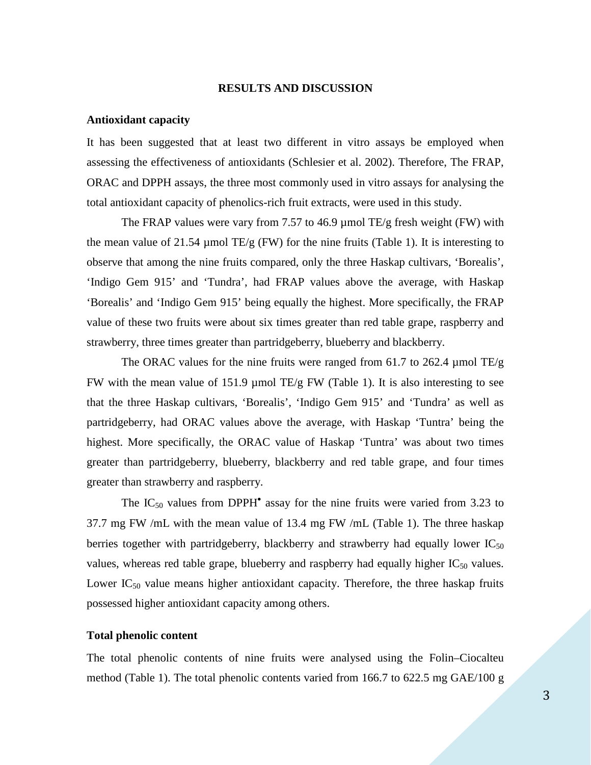#### **RESULTS AND DISCUSSION**

#### **Antioxidant capacity**

It has been suggested that at least two different in vitro assays be employed when assessing the effectiveness of antioxidants (Schlesier et al. 2002). Therefore, The FRAP, ORAC and DPPH assays, the three most commonly used in vitro assays for analysing the total antioxidant capacity of phenolics-rich fruit extracts, were used in this study.

The FRAP values were vary from 7.57 to 46.9  $\mu$  mol TE/g fresh weight (FW) with the mean value of 21.54  $\mu$ mol TE/g (FW) for the nine fruits (Table 1). It is interesting to observe that among the nine fruits compared, only the three Haskap cultivars, 'Borealis', 'Indigo Gem 915' and 'Tundra', had FRAP values above the average, with Haskap 'Borealis' and 'Indigo Gem 915' being equally the highest. More specifically, the FRAP value of these two fruits were about six times greater than red table grape, raspberry and strawberry, three times greater than partridgeberry, blueberry and blackberry.

The ORAC values for the nine fruits were ranged from 61.7 to 262.4  $\mu$ mol TE/g FW with the mean value of 151.9  $\mu$ mol TE/g FW (Table 1). It is also interesting to see that the three Haskap cultivars, 'Borealis', 'Indigo Gem 915' and 'Tundra' as well as partridgeberry, had ORAC values above the average, with Haskap 'Tuntra' being the highest. More specifically, the ORAC value of Haskap 'Tuntra' was about two times greater than partridgeberry, blueberry, blackberry and red table grape, and four times greater than strawberry and raspberry.

The  $IC_{50}$  values from DPPH<sup>•</sup> assay for the nine fruits were varied from 3.23 to 37.7 mg FW /mL with the mean value of 13.4 mg FW /mL (Table 1). The three haskap berries together with partridgeberry, blackberry and strawberry had equally lower  $IC_{50}$ values, whereas red table grape, blueberry and raspberry had equally higher  $IC_{50}$  values. Lower  $IC_{50}$  value means higher antioxidant capacity. Therefore, the three haskap fruits possessed higher antioxidant capacity among others.

#### **Total phenolic content**

The total phenolic contents of nine fruits were analysed using the Folin–Ciocalteu method (Table 1). The total phenolic contents varied from 166.7 to 622.5 mg GAE/100 g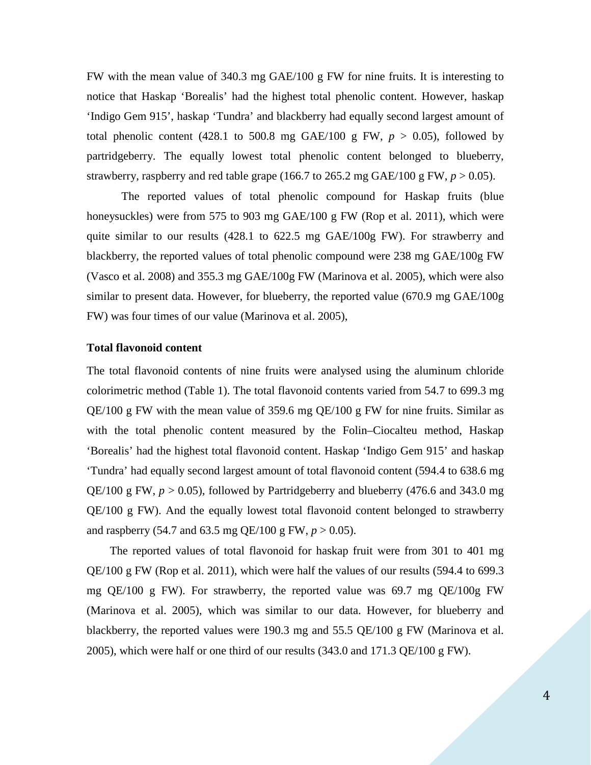FW with the mean value of 340.3 mg GAE/100 g FW for nine fruits. It is interesting to notice that Haskap 'Borealis' had the highest total phenolic content. However, haskap 'Indigo Gem 915', haskap 'Tundra' and blackberry had equally second largest amount of total phenolic content (428.1 to 500.8 mg GAE/100 g FW,  $p > 0.05$ ), followed by partridgeberry. The equally lowest total phenolic content belonged to blueberry, strawberry, raspberry and red table grape (166.7 to 265.2 mg GAE/100 g FW,  $p > 0.05$ ).

The reported values of total phenolic compound for Haskap fruits (blue honeysuckles) were from 575 to 903 mg GAE/100 g FW (Rop et al. 2011), which were quite similar to our results (428.1 to 622.5 mg GAE/100g FW). For strawberry and blackberry, the reported values of total phenolic compound were 238 mg GAE/100g FW (Vasco et al. 2008) and 355.3 mg GAE/100g FW (Marinova et al. 2005), which were also similar to present data. However, for blueberry, the reported value (670.9 mg GAE/100g FW) was four times of our value (Marinova et al. 2005),

## **Total flavonoid content**

The total flavonoid contents of nine fruits were analysed using the aluminum chloride colorimetric method (Table 1). The total flavonoid contents varied from 54.7 to 699.3 mg QE/100 g FW with the mean value of 359.6 mg QE/100 g FW for nine fruits. Similar as with the total phenolic content measured by the Folin–Ciocalteu method, Haskap 'Borealis' had the highest total flavonoid content. Haskap 'Indigo Gem 915' and haskap 'Tundra' had equally second largest amount of total flavonoid content (594.4 to 638.6 mg QE/100 g FW,  $p > 0.05$ ), followed by Partridgeberry and blueberry (476.6 and 343.0 mg QE/100 g FW). And the equally lowest total flavonoid content belonged to strawberry and raspberry (54.7 and 63.5 mg QE/100 g FW,  $p > 0.05$ ).

The reported values of total flavonoid for haskap fruit were from 301 to 401 mg QE/100 g FW (Rop et al. 2011), which were half the values of our results (594.4 to 699.3 mg QE/100 g FW). For strawberry, the reported value was 69.7 mg QE/100g FW (Marinova et al. 2005), which was similar to our data. However, for blueberry and blackberry, the reported values were 190.3 mg and 55.5 QE/100 g FW (Marinova et al. 2005), which were half or one third of our results  $(343.0 \text{ and } 171.3 \text{ QE}/100 \text{ g FW})$ .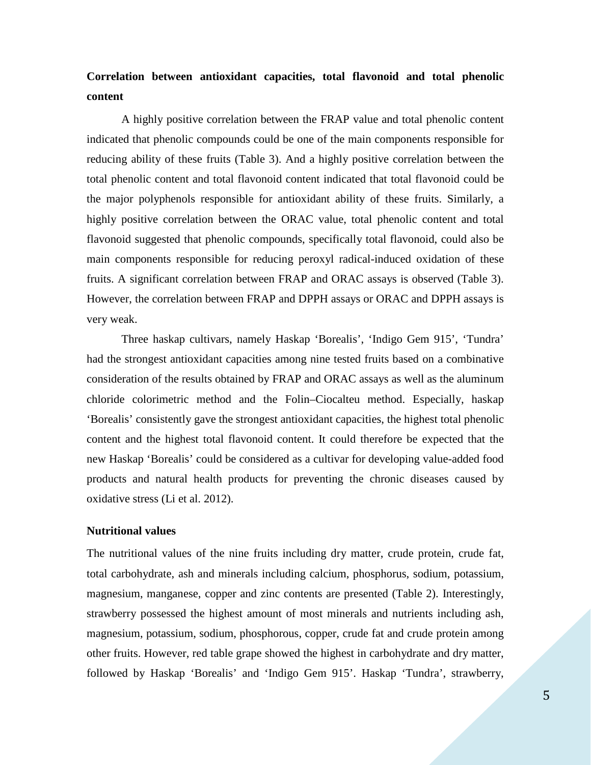# **Correlation between antioxidant capacities, total flavonoid and total phenolic content**

A highly positive correlation between the FRAP value and total phenolic content indicated that phenolic compounds could be one of the main components responsible for reducing ability of these fruits (Table 3). And a highly positive correlation between the total phenolic content and total flavonoid content indicated that total flavonoid could be the major polyphenols responsible for antioxidant ability of these fruits. Similarly, a highly positive correlation between the ORAC value, total phenolic content and total flavonoid suggested that phenolic compounds, specifically total flavonoid, could also be main components responsible for reducing peroxyl radical-induced oxidation of these fruits. A significant correlation between FRAP and ORAC assays is observed (Table 3). However, the correlation between FRAP and DPPH assays or ORAC and DPPH assays is very weak.

Three haskap cultivars, namely Haskap 'Borealis', 'Indigo Gem 915', 'Tundra' had the strongest antioxidant capacities among nine tested fruits based on a combinative consideration of the results obtained by FRAP and ORAC assays as well as the aluminum chloride colorimetric method and the Folin–Ciocalteu method. Especially, haskap 'Borealis' consistently gave the strongest antioxidant capacities, the highest total phenolic content and the highest total flavonoid content. It could therefore be expected that the new Haskap 'Borealis' could be considered as a cultivar for developing value-added food products and natural health products for preventing the chronic diseases caused by oxidative stress (Li et al. 2012).

## **Nutritional values**

The nutritional values of the nine fruits including dry matter, crude protein, crude fat, total carbohydrate, ash and minerals including calcium, phosphorus, sodium, potassium, magnesium, manganese, copper and zinc contents are presented (Table 2). Interestingly, strawberry possessed the highest amount of most minerals and nutrients including ash, magnesium, potassium, sodium, phosphorous, copper, crude fat and crude protein among other fruits. However, red table grape showed the highest in carbohydrate and dry matter, followed by Haskap 'Borealis' and 'Indigo Gem 915'. Haskap 'Tundra', strawberry,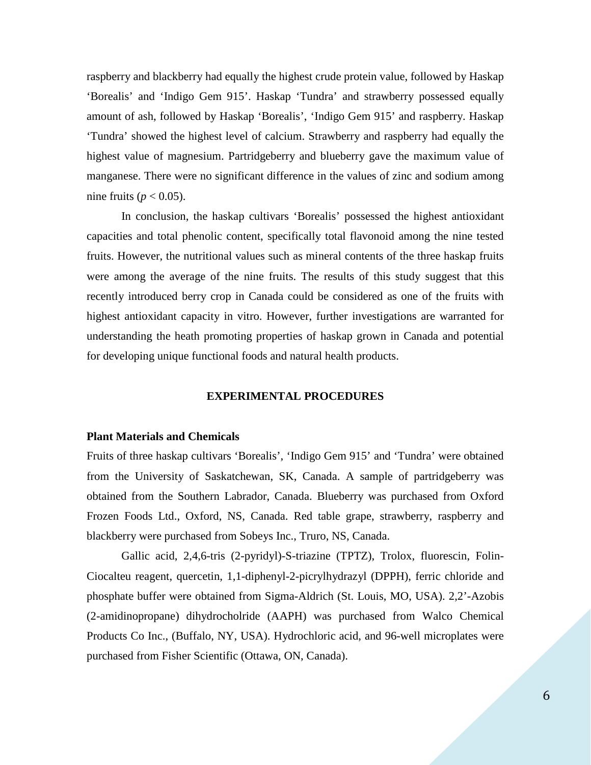raspberry and blackberry had equally the highest crude protein value, followed by Haskap 'Borealis' and 'Indigo Gem 915'. Haskap 'Tundra' and strawberry possessed equally amount of ash, followed by Haskap 'Borealis', 'Indigo Gem 915' and raspberry. Haskap 'Tundra' showed the highest level of calcium. Strawberry and raspberry had equally the highest value of magnesium. Partridgeberry and blueberry gave the maximum value of manganese. There were no significant difference in the values of zinc and sodium among nine fruits ( $p < 0.05$ ).

In conclusion, the haskap cultivars 'Borealis' possessed the highest antioxidant capacities and total phenolic content, specifically total flavonoid among the nine tested fruits. However, the nutritional values such as mineral contents of the three haskap fruits were among the average of the nine fruits. The results of this study suggest that this recently introduced berry crop in Canada could be considered as one of the fruits with highest antioxidant capacity in vitro. However, further investigations are warranted for understanding the heath promoting properties of haskap grown in Canada and potential for developing unique functional foods and natural health products.

## **EXPERIMENTAL PROCEDURES**

#### **Plant Materials and Chemicals**

Fruits of three haskap cultivars 'Borealis', 'Indigo Gem 915' and 'Tundra' were obtained from the University of Saskatchewan, SK, Canada. A sample of partridgeberry was obtained from the Southern Labrador, Canada. Blueberry was purchased from Oxford Frozen Foods Ltd., Oxford, NS, Canada. Red table grape, strawberry, raspberry and blackberry were purchased from Sobeys Inc., Truro, NS, Canada.

Gallic acid, 2,4,6-tris (2-pyridyl)-S-triazine (TPTZ), Trolox, fluorescin, Folin-Ciocalteu reagent, quercetin, 1,1-diphenyl-2-picrylhydrazyl (DPPH), ferric chloride and phosphate buffer were obtained from Sigma-Aldrich (St. Louis, MO, USA). 2,2'-Azobis (2-amidinopropane) dihydrocholride (AAPH) was purchased from Walco Chemical Products Co Inc., (Buffalo, NY, USA). Hydrochloric acid, and 96-well microplates were purchased from Fisher Scientific (Ottawa, ON, Canada).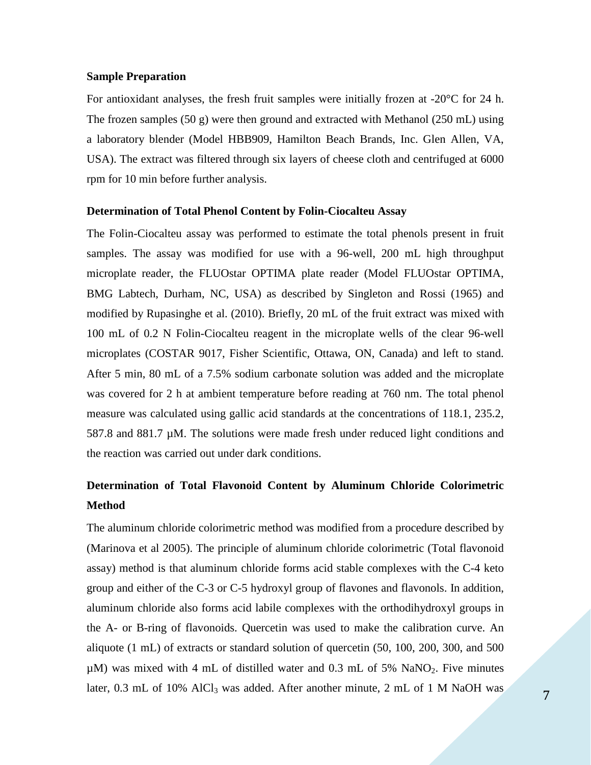#### **Sample Preparation**

For antioxidant analyses, the fresh fruit samples were initially frozen at -20°C for 24 h. The frozen samples (50 g) were then ground and extracted with Methanol (250 mL) using a laboratory blender (Model HBB909, Hamilton Beach Brands, Inc. Glen Allen, VA, USA). The extract was filtered through six layers of cheese cloth and centrifuged at 6000 rpm for 10 min before further analysis.

#### **Determination of Total Phenol Content by Folin-Ciocalteu Assay**

The Folin-Ciocalteu assay was performed to estimate the total phenols present in fruit samples. The assay was modified for use with a 96-well, 200 mL high throughput microplate reader, the FLUOstar OPTIMA plate reader (Model FLUOstar OPTIMA, BMG Labtech, Durham, NC, USA) as described by Singleton and Rossi (1965) and modified by Rupasinghe et al. (2010). Briefly, 20 mL of the fruit extract was mixed with 100 mL of 0.2 N Folin-Ciocalteu reagent in the microplate wells of the clear 96-well microplates (COSTAR 9017, Fisher Scientific, Ottawa, ON, Canada) and left to stand. After 5 min, 80 mL of a 7.5% sodium carbonate solution was added and the microplate was covered for 2 h at ambient temperature before reading at 760 nm. The total phenol measure was calculated using gallic acid standards at the concentrations of 118.1, 235.2,  $587.8$  and  $881.7 \mu M$ . The solutions were made fresh under reduced light conditions and the reaction was carried out under dark conditions.

# **Determination of Total Flavonoid Content by Aluminum Chloride Colorimetric Method**

The aluminum chloride colorimetric method was modified from a procedure described by (Marinova et al 2005). The principle of aluminum chloride colorimetric (Total flavonoid assay) method is that aluminum chloride forms acid stable complexes with the C-4 keto group and either of the C-3 or C-5 hydroxyl group of flavones and flavonols. In addition, aluminum chloride also forms acid labile complexes with the orthodihydroxyl groups in the A- or B-ring of flavonoids. Quercetin was used to make the calibration curve. An aliquote (1 mL) of extracts or standard solution of quercetin (50, 100, 200, 300, and 500  $\mu$ M) was mixed with 4 mL of distilled water and 0.3 mL of 5% NaNO<sub>2</sub>. Five minutes later, 0.3 mL of 10% AlCl<sub>3</sub> was added. After another minute, 2 mL of 1 M NaOH was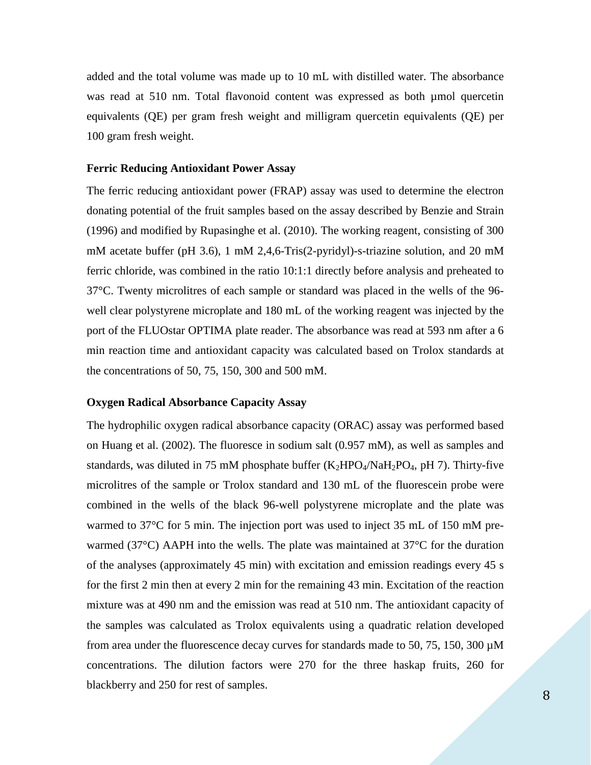added and the total volume was made up to 10 mL with distilled water. The absorbance was read at 510 nm. Total flavonoid content was expressed as both µmol quercetin equivalents (QE) per gram fresh weight and milligram quercetin equivalents (QE) per 100 gram fresh weight.

#### **Ferric Reducing Antioxidant Power Assay**

The ferric reducing antioxidant power (FRAP) assay was used to determine the electron donating potential of the fruit samples based on the assay described by Benzie and Strain (1996) and modified by Rupasinghe et al. (2010). The working reagent, consisting of 300 mM acetate buffer (pH 3.6), 1 mM 2,4,6-Tris(2-pyridyl)-s-triazine solution, and 20 mM ferric chloride, was combined in the ratio 10:1:1 directly before analysis and preheated to 37°C. Twenty microlitres of each sample or standard was placed in the wells of the 96 well clear polystyrene microplate and 180 mL of the working reagent was injected by the port of the FLUOstar OPTIMA plate reader. The absorbance was read at 593 nm after a 6 min reaction time and antioxidant capacity was calculated based on Trolox standards at the concentrations of 50, 75, 150, 300 and 500 mM.

#### **Oxygen Radical Absorbance Capacity Assay**

The hydrophilic oxygen radical absorbance capacity (ORAC) assay was performed based on Huang et al. (2002). The fluoresce in sodium salt (0.957 mM), as well as samples and standards, was diluted in 75 mM phosphate buffer  $(K_2HPO_4/NaH_2PO_4$ , pH 7). Thirty-five microlitres of the sample or Trolox standard and 130 mL of the fluorescein probe were combined in the wells of the black 96-well polystyrene microplate and the plate was warmed to 37<sup>o</sup>C for 5 min. The injection port was used to inject 35 mL of 150 mM prewarmed (37°C) AAPH into the wells. The plate was maintained at 37°C for the duration of the analyses (approximately 45 min) with excitation and emission readings every 45 s for the first 2 min then at every 2 min for the remaining 43 min. Excitation of the reaction mixture was at 490 nm and the emission was read at 510 nm. The antioxidant capacity of the samples was calculated as Trolox equivalents using a quadratic relation developed from area under the fluorescence decay curves for standards made to 50, 75, 150, 300  $\mu$ M concentrations. The dilution factors were 270 for the three haskap fruits, 260 for blackberry and 250 for rest of samples.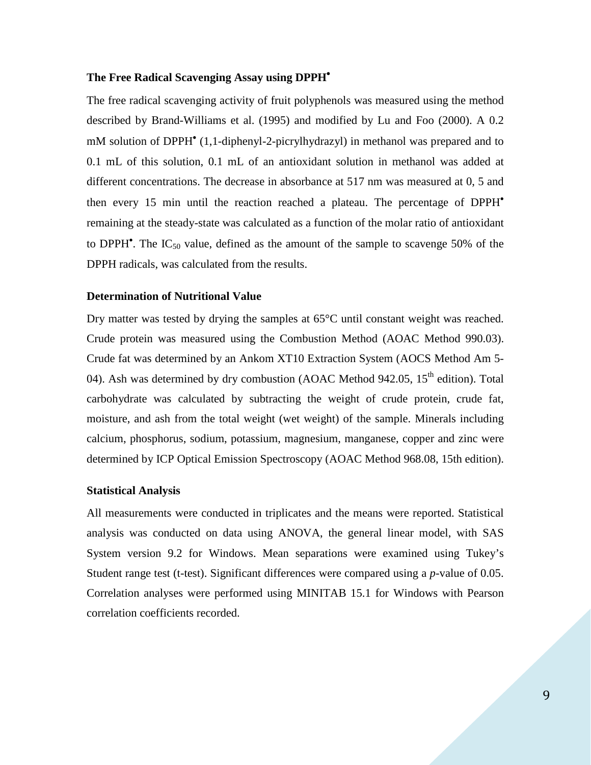## **The Free Radical Scavenging Assay using DPPH**•

The free radical scavenging activity of fruit polyphenols was measured using the method described by Brand-Williams et al. (1995) and modified by Lu and Foo (2000). A 0.2 mM solution of DPPH<sup>•</sup> (1,1-diphenyl-2-picrylhydrazyl) in methanol was prepared and to 0.1 mL of this solution, 0.1 mL of an antioxidant solution in methanol was added at different concentrations. The decrease in absorbance at 517 nm was measured at 0, 5 and then every 15 min until the reaction reached a plateau. The percentage of DPPH• remaining at the steady-state was calculated as a function of the molar ratio of antioxidant to DPPH<sup> $\bullet$ </sup>. The IC<sub>50</sub> value, defined as the amount of the sample to scavenge 50% of the DPPH radicals, was calculated from the results.

#### **Determination of Nutritional Value**

Dry matter was tested by drying the samples at 65°C until constant weight was reached. Crude protein was measured using the Combustion Method (AOAC Method 990.03). Crude fat was determined by an Ankom XT10 Extraction System (AOCS Method Am 5- 04). Ash was determined by dry combustion (AOAC Method 942.05, 15<sup>th</sup> edition). Total carbohydrate was calculated by subtracting the weight of crude protein, crude fat, moisture, and ash from the total weight (wet weight) of the sample. Minerals including calcium, phosphorus, sodium, potassium, magnesium, manganese, copper and zinc were determined by ICP Optical Emission Spectroscopy (AOAC Method 968.08, 15th edition).

## **Statistical Analysis**

All measurements were conducted in triplicates and the means were reported. Statistical analysis was conducted on data using ANOVA, the general linear model, with SAS System version 9.2 for Windows. Mean separations were examined using Tukey's Student range test (t-test). Significant differences were compared using a *p*-value of 0.05. Correlation analyses were performed using MINITAB 15.1 for Windows with Pearson correlation coefficients recorded.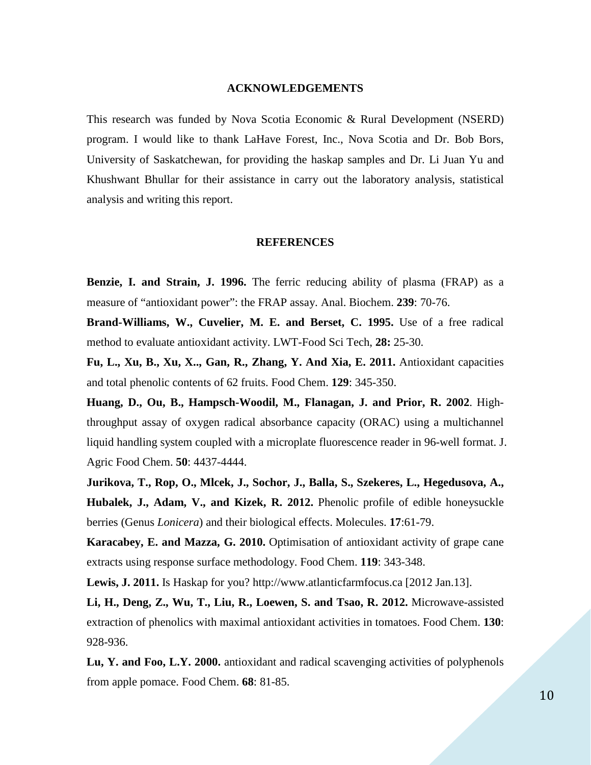#### **ACKNOWLEDGEMENTS**

This research was funded by Nova Scotia Economic & Rural Development (NSERD) program. I would like to thank LaHave Forest, Inc., Nova Scotia and Dr. Bob Bors, University of Saskatchewan, for providing the haskap samples and Dr. Li Juan Yu and Khushwant Bhullar for their assistance in carry out the laboratory analysis, statistical analysis and writing this report.

#### **REFERENCES**

**Benzie, I. and Strain, J. 1996.** The ferric reducing ability of plasma (FRAP) as a measure of "antioxidant power": the FRAP assay. Anal. Biochem. **239**: 70-76.

**Brand-Williams, W., Cuvelier, M. E. and Berset, C. 1995.** Use of a free radical method to evaluate antioxidant activity. LWT-Food Sci Tech, **28:** 25-30.

**Fu, L., Xu, B., Xu, X.., Gan, R., Zhang, Y. And Xia, E. 2011.** Antioxidant capacities and total phenolic contents of 62 fruits. Food Chem. **129**: 345-350.

**Huang, D., Ou, B., Hampsch-Woodil, M., Flanagan, J. and Prior, R. 2002**. Highthroughput assay of oxygen radical absorbance capacity (ORAC) using a multichannel liquid handling system coupled with a microplate fluorescence reader in 96-well format. J. Agric Food Chem. **50**: 4437-4444.

**Jurikova, T., Rop, O., Mlcek, J., Sochor, J., Balla, S., Szekeres, L., Hegedusova, A., Hubalek, J., Adam, V., and Kizek, R. 2012.** Phenolic profile of edible honeysuckle berries (Genus *Lonicera*) and their biological effects. Molecules. **17**:61-79.

**Karacabey, E. and Mazza, G. 2010.** Optimisation of antioxidant activity of grape cane extracts using response surface methodology. Food Chem. **119**: 343-348.

**Lewis, J. 2011.** Is Haskap for you? http://www.atlanticfarmfocus.ca [2012 Jan.13].

**Li, H., Deng, Z., Wu, T., Liu, R., Loewen, S. and Tsao, R. 2012.** Microwave-assisted extraction of phenolics with maximal antioxidant activities in tomatoes. Food Chem. **130**: 928-936.

**Lu, Y. and Foo, L.Y. 2000.** antioxidant and radical scavenging activities of polyphenols from apple pomace. Food Chem. **68**: 81-85.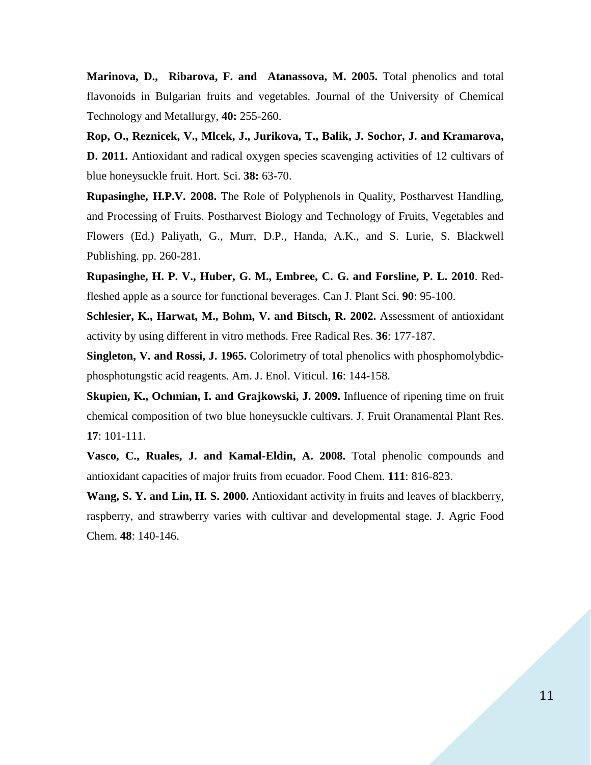**Marinova, D., Ribarova, F. and Atanassova, M. 2005.** Total phenolics and total flavonoids in Bulgarian fruits and vegetables. Journal of the University of Chemical Technology and Metallurgy, **40:** 255-260.

**Rop, O., Reznicek, V., Mlcek, J., Jurikova, T., Balik, J. Sochor, J. and Kramarova, D. 2011.** Antioxidant and radical oxygen species scavenging activities of 12 cultivars of blue honeysuckle fruit. Hort. Sci. **38:** 63-70.

**Rupasinghe, H.P.V. 2008.** The Role of Polyphenols in Quality, Postharvest Handling, and Processing of Fruits. Postharvest Biology and Technology of Fruits, Vegetables and Flowers (Ed.) Paliyath, G., Murr, D.P., Handa, A.K., and S. Lurie, S. Blackwell Publishing. pp. 260-281.

**Rupasinghe, H. P. V., Huber, G. M., Embree, C. G. and Forsline, P. L. 2010**. Redfleshed apple as a source for functional beverages. Can J. Plant Sci. **90**: 95-100.

**Schlesier, K., Harwat, M., Bohm, V. and Bitsch, R. 2002.** Assessment of antioxidant activity by using different in vitro methods. Free Radical Res. **36**: 177-187.

**Singleton, V. and Rossi, J. 1965.** Colorimetry of total phenolics with phosphomolybdicphosphotungstic acid reagents. Am. J. Enol. Viticul. **16**: 144-158.

**Skupien, K., Ochmian, I. and Grajkowski, J. 2009.** Influence of ripening time on fruit chemical composition of two blue honeysuckle cultivars. J. Fruit Oranamental Plant Res. **17**: 101-111.

**Vasco, C., Ruales, J. and Kamal-Eldin, A. 2008.** Total phenolic compounds and antioxidant capacities of major fruits from ecuador. Food Chem. **111**: 816-823.

**Wang, S. Y. and Lin, H. S. 2000.** Antioxidant activity in fruits and leaves of blackberry, raspberry, and strawberry varies with cultivar and developmental stage. J. Agric Food Chem. **48**: 140-146.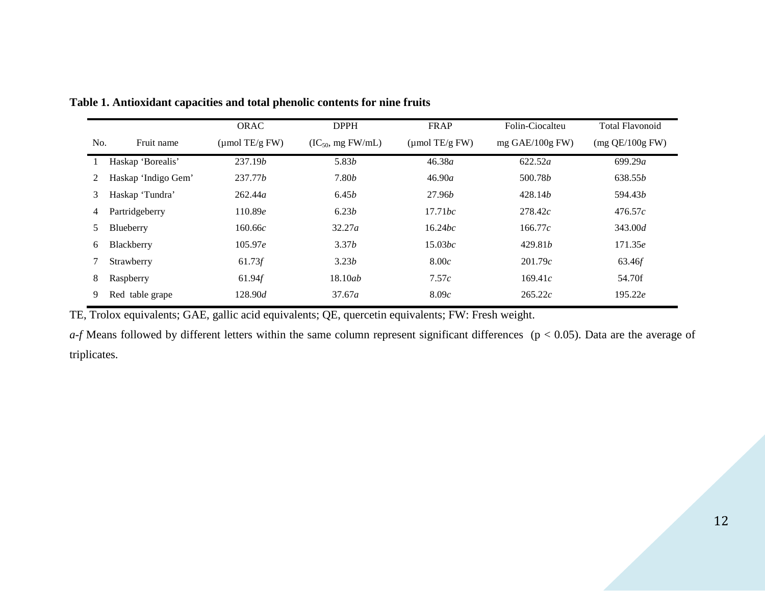|     |                     | ORAC               | <b>DPPH</b>            | FRAP                       | Folin-Ciocalteu   | <b>Total Flavonoid</b> |
|-----|---------------------|--------------------|------------------------|----------------------------|-------------------|------------------------|
| No. | Fruit name          | $\mu$ mol TE/g FW) | $(IC_{50}$ , mg FW/mL) | $(\mu \text{mol TE/g FW})$ | mg $GAE/100g$ FW) | $(mg$ QE/100g FW)      |
|     | Haskap 'Borealis'   | 237.19 <i>b</i>    | 5.83b                  | 46.38a                     | 622.52a           | 699.29a                |
| 2   | Haskap 'Indigo Gem' | 237.77 <i>b</i>    | 7.80 <i>b</i>          | 46.90a                     | 500.78 <i>b</i>   | 638.55 <i>b</i>        |
| 3   | Haskap 'Tundra'     | 262.44a            | 6.45b                  | 27.96 <i>b</i>             | 428.14 <i>b</i>   | 594.43 <i>b</i>        |
| 4   | Partridgeberry      | 110.89e            | 6.23b                  | 17.71bc                    | 278.42c           | 476.57c                |
| 5   | Blueberry           | 160.66c            | 32.27a                 | 16.24bc                    | 166.77c           | 343.00d                |
| 6   | Blackberry          | 105.97e            | 3.37b                  | 15.03bc                    | 429.81b           | 171.35e                |
|     | Strawberry          | 61.73f             | 3.23b                  | 8.00c                      | 201.79c           | 63.46f                 |
| 8   | Raspberry           | 61.94f             | 18.10ab                | 7.57c                      | 169.41c           | 54.70f                 |
| 9   | Red table grape     | 128.90d            | 37.67a                 | 8.09c                      | 265.22c           | 195.22e                |

**Table 1. Antioxidant capacities and total phenolic contents for nine fruits**

TE, Trolox equivalents; GAE, gallic acid equivalents; QE, quercetin equivalents; FW: Fresh weight.

*a-f* Means followed by different letters within the same column represent significant differences (p < 0.05). Data are the average of triplicates.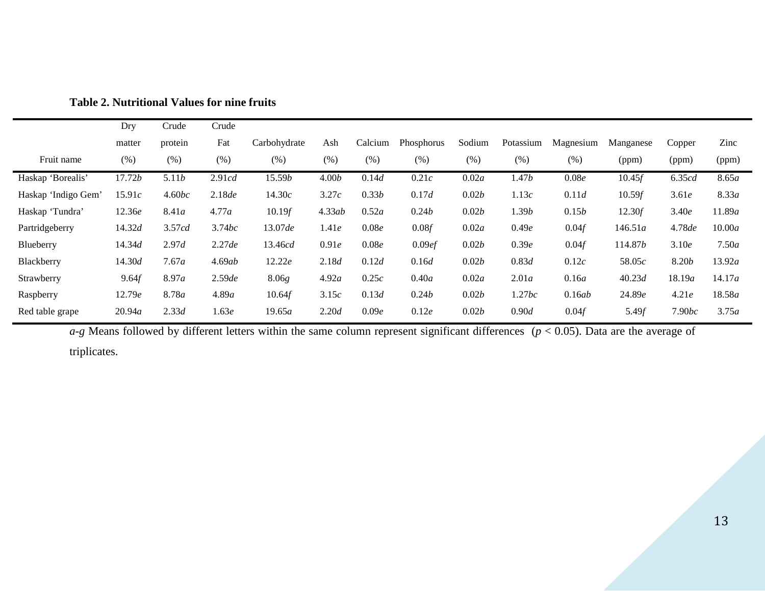|                     | Dry            | Crude   | Crude  |                |        |         |            |        |           |           |           |               |        |
|---------------------|----------------|---------|--------|----------------|--------|---------|------------|--------|-----------|-----------|-----------|---------------|--------|
|                     | matter         | protein | Fat    | Carbohydrate   | Ash    | Calcium | Phosphorus | Sodium | Potassium | Magnesium | Manganese | Copper        | Zinc   |
| Fruit name          | (% )           | (% )    | (% )   | (% )           | (%)    | (% )    | (% )       | (% )   | (%)       | (% )      | (ppm)     | (ppm)         | (ppm)  |
| Haskap 'Borealis'   | 17.72 <i>b</i> | 5.11b   | 2.91cd | 15.59 <i>b</i> | 4.00b  | 0.14d   | 0.21c      | 0.02a  | 1.47b     | 0.08e     | 10.45f    | 6.35cd        | 8.65a  |
| Haskap 'Indigo Gem' | 15.91c         | 4.60bc  | 2.18de | 14.30c         | 3.27c  | 0.33b   | 0.17d      | 0.02b  | 1.13c     | 0.11d     | 10.59f    | 3.61e         | 8.33a  |
| Haskap 'Tundra'     | 12.36e         | 8.41a   | 4.77a  | 10.19f         | 4.33ab | 0.52a   | 0.24b      | 0.02b  | 1.39b     | 0.15b     | 12.30f    | 3.40e         | 11.89a |
| Partridgeberry      | 14.32d         | 3.57cd  | 3.74bc | 13.07de        | 1.41e  | 0.08e   | 0.08f      | 0.02a  | 0.49e     | 0.04f     | 146.51a   | 4.78de        | 10.00a |
| Blueberry           | 14.34d         | 2.97d   | 2.27de | 13.46cd        | 0.91e  | 0.08e   | 0.09ef     | 0.02b  | 0.39e     | 0.04f     | 114.87b   | 3.10e         | 7.50a  |
| Blackberry          | 14.30d         | 7.67a   | 4.69ab | 12.22e         | 2.18d  | 0.12d   | 0.16d      | 0.02b  | 0.83d     | 0.12c     | 58.05c    | 8.20 <i>b</i> | 13.92a |
| Strawberry          | 9.64f          | 8.97a   | 2.59de | 8.06g          | 4.92a  | 0.25c   | 0.40a      | 0.02a  | 2.01a     | 0.16a     | 40.23d    | 18.19a        | 14.17a |
| Raspberry           | 12.79e         | 8.78a   | 4.89a  | 10.64f         | 3.15c  | 0.13d   | 0.24b      | 0.02b  | 1.27bc    | 0.16ab    | 24.89e    | 4.21e         | 18.58a |
| Red table grape     | 20.94a         | 2.33d   | 1.63e  | 19.65a         | 2.20d  | 0.09e   | 0.12e      | 0.02b  | 0.90d     | 0.04f     | 5.49f     | 7.90bc        | 3.75a  |

**Table 2. Nutritional Values for nine fruits**

*a-g* Means followed by different letters within the same column represent significant differences (*p* < 0.05). Data are the average of

triplicates.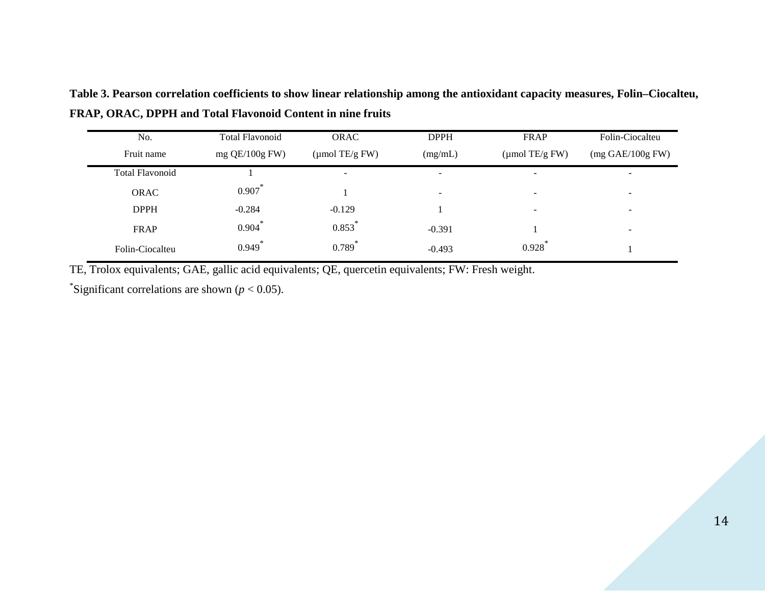| No.                    | <b>Total Flavonoid</b> | <b>ORAC</b>                | <b>DPPH</b>              | FRAP                       | Folin-Ciocalteu                    |  |
|------------------------|------------------------|----------------------------|--------------------------|----------------------------|------------------------------------|--|
| Fruit name             | mg $QE/100g$ FW)       | $(\mu \text{mol TE/g FW})$ | (mg/mL)                  | $(\mu \text{mol TE/g FW})$ | $(mg \text{ GAE}/100g \text{ FW})$ |  |
| <b>Total Flavonoid</b> |                        | $\overline{\phantom{a}}$   | $\overline{\phantom{0}}$ | $\overline{\phantom{0}}$   | $\overline{\phantom{0}}$           |  |
| <b>ORAC</b>            | ∗<br>0.907             |                            | $\overline{\phantom{a}}$ | $\overline{\phantom{a}}$   | $\overline{\phantom{a}}$           |  |
| <b>DPPH</b>            | $-0.284$               | $-0.129$                   |                          | $\overline{\phantom{a}}$   | $\sim$                             |  |
| FRAP                   | 冰<br>0.904             | 0.853                      | $-0.391$                 |                            | $\overline{\phantom{0}}$           |  |
| Folin-Ciocalteu        | 冰<br>0.949             | ∗<br>0.789                 | $-0.493$                 | 0.928                      |                                    |  |

**Table 3. Pearson correlation coefficients to show linear relationship among the antioxidant capacity measures, Folin–Ciocalteu, FRAP, ORAC, DPPH and Total Flavonoid Content in nine fruits**

TE, Trolox equivalents; GAE, gallic acid equivalents; QE, quercetin equivalents; FW: Fresh weight.

\*Significant correlations are shown ( $p < 0.05$ ).